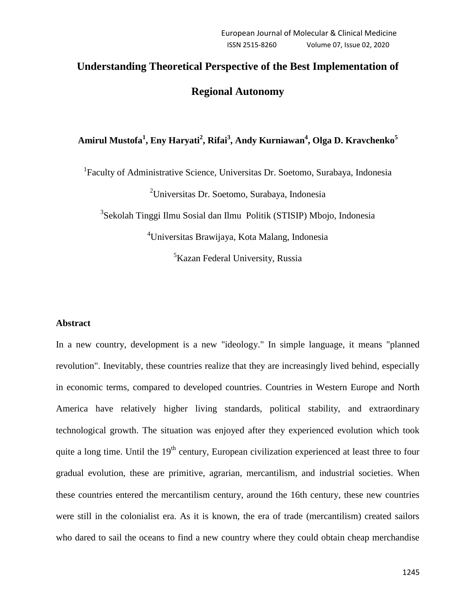# **Understanding Theoretical Perspective of the Best Implementation of Regional Autonomy**

# **Amirul Mustofa<sup>1</sup> , Eny Haryati<sup>2</sup> , Rifai<sup>3</sup> , Andy Kurniawan<sup>4</sup> , Olga D. Kravchenko<sup>5</sup>**

<sup>1</sup>Faculty of Administrative Science, Universitas Dr. Soetomo, Surabaya, Indonesia

<sup>2</sup>Universitas Dr. Soetomo, Surabaya, Indonesia

<sup>3</sup>Sekolah Tinggi Ilmu Sosial dan Ilmu Politik (STISIP) Mbojo, Indonesia

<sup>4</sup>Universitas Brawijaya, Kota Malang, Indonesia <sup>5</sup>Kazan Federal University, Russia

## **Abstract**

In a new country, development is a new "ideology." In simple language, it means "planned revolution". Inevitably, these countries realize that they are increasingly lived behind, especially in economic terms, compared to developed countries. Countries in Western Europe and North America have relatively higher living standards, political stability, and extraordinary technological growth. The situation was enjoyed after they experienced evolution which took quite a long time. Until the 19<sup>th</sup> century, European civilization experienced at least three to four gradual evolution, these are primitive, agrarian, mercantilism, and industrial societies. When these countries entered the mercantilism century, around the 16th century, these new countries were still in the colonialist era. As it is known, the era of trade (mercantilism) created sailors who dared to sail the oceans to find a new country where they could obtain cheap merchandise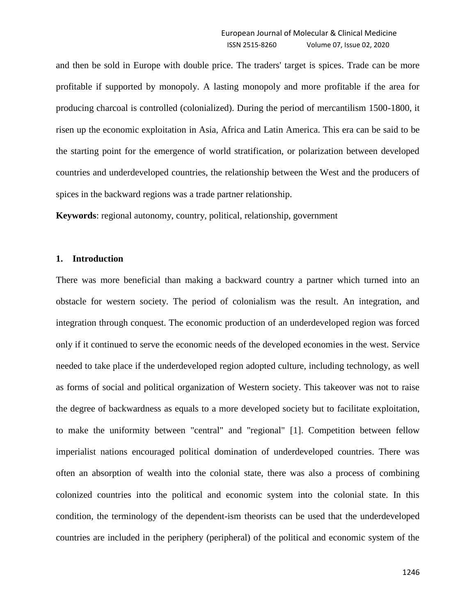and then be sold in Europe with double price. The traders' target is spices. Trade can be more profitable if supported by monopoly. A lasting monopoly and more profitable if the area for producing charcoal is controlled (colonialized). During the period of mercantilism 1500-1800, it risen up the economic exploitation in Asia, Africa and Latin America. This era can be said to be the starting point for the emergence of world stratification, or polarization between developed countries and underdeveloped countries, the relationship between the West and the producers of spices in the backward regions was a trade partner relationship.

**Keywords**: regional autonomy, country, political, relationship, government

#### **1. Introduction**

There was more beneficial than making a backward country a partner which turned into an obstacle for western society. The period of colonialism was the result. An integration, and integration through conquest. The economic production of an underdeveloped region was forced only if it continued to serve the economic needs of the developed economies in the west. Service needed to take place if the underdeveloped region adopted culture, including technology, as well as forms of social and political organization of Western society. This takeover was not to raise the degree of backwardness as equals to a more developed society but to facilitate exploitation, to make the uniformity between "central" and "regional" [1]. Competition between fellow imperialist nations encouraged political domination of underdeveloped countries. There was often an absorption of wealth into the colonial state, there was also a process of combining colonized countries into the political and economic system into the colonial state. In this condition, the terminology of the dependent-ism theorists can be used that the underdeveloped countries are included in the periphery (peripheral) of the political and economic system of the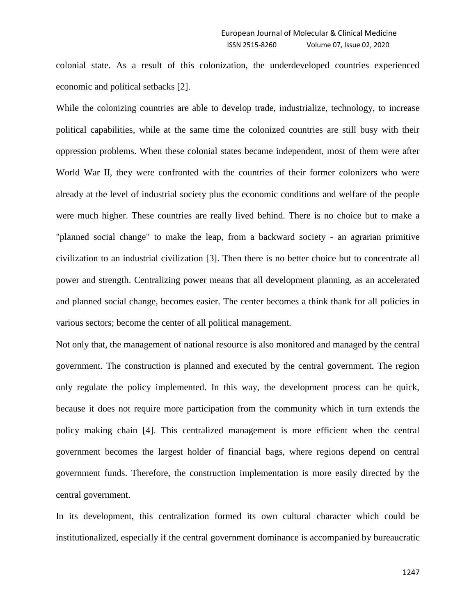colonial state. As a result of this colonization, the underdeveloped countries experienced economic and political setbacks [2].

While the colonizing countries are able to develop trade, industrialize, technology, to increase political capabilities, while at the same time the colonized countries are still busy with their oppression problems. When these colonial states became independent, most of them were after World War II, they were confronted with the countries of their former colonizers who were already at the level of industrial society plus the economic conditions and welfare of the people were much higher. These countries are really lived behind. There is no choice but to make a "planned social change" to make the leap, from a backward society - an agrarian primitive civilization to an industrial civilization [3]. Then there is no better choice but to concentrate all power and strength. Centralizing power means that all development planning, as an accelerated and planned social change, becomes easier. The center becomes a think thank for all policies in various sectors; become the center of all political management.

Not only that, the management of national resource is also monitored and managed by the central government. The construction is planned and executed by the central government. The region only regulate the policy implemented. In this way, the development process can be quick, because it does not require more participation from the community which in turn extends the policy making chain [4]. This centralized management is more efficient when the central government becomes the largest holder of financial bags, where regions depend on central government funds. Therefore, the construction implementation is more easily directed by the central government.

In its development, this centralization formed its own cultural character which could be institutionalized, especially if the central government dominance is accompanied by bureaucratic

1247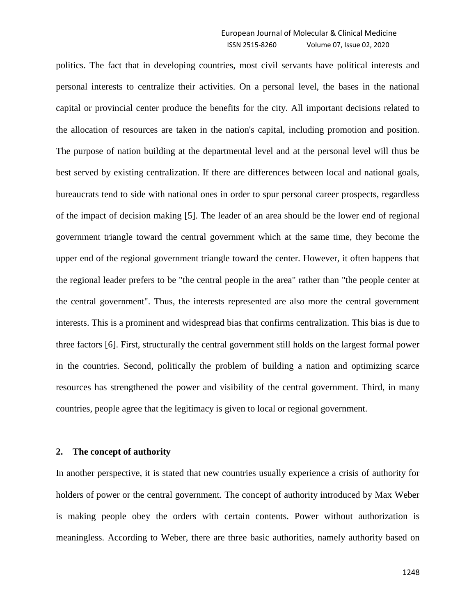politics. The fact that in developing countries, most civil servants have political interests and personal interests to centralize their activities. On a personal level, the bases in the national capital or provincial center produce the benefits for the city. All important decisions related to the allocation of resources are taken in the nation's capital, including promotion and position. The purpose of nation building at the departmental level and at the personal level will thus be best served by existing centralization. If there are differences between local and national goals, bureaucrats tend to side with national ones in order to spur personal career prospects, regardless of the impact of decision making [5]. The leader of an area should be the lower end of regional government triangle toward the central government which at the same time, they become the upper end of the regional government triangle toward the center. However, it often happens that the regional leader prefers to be "the central people in the area" rather than "the people center at the central government". Thus, the interests represented are also more the central government interests. This is a prominent and widespread bias that confirms centralization. This bias is due to three factors [6]. First, structurally the central government still holds on the largest formal power in the countries. Second, politically the problem of building a nation and optimizing scarce resources has strengthened the power and visibility of the central government. Third, in many countries, people agree that the legitimacy is given to local or regional government.

#### **2. The concept of authority**

In another perspective, it is stated that new countries usually experience a crisis of authority for holders of power or the central government. The concept of authority introduced by Max Weber is making people obey the orders with certain contents. Power without authorization is meaningless. According to Weber, there are three basic authorities, namely authority based on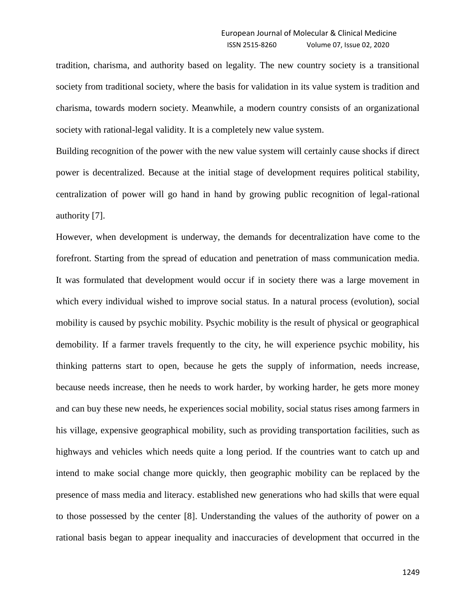tradition, charisma, and authority based on legality. The new country society is a transitional society from traditional society, where the basis for validation in its value system is tradition and charisma, towards modern society. Meanwhile, a modern country consists of an organizational society with rational-legal validity. It is a completely new value system.

Building recognition of the power with the new value system will certainly cause shocks if direct power is decentralized. Because at the initial stage of development requires political stability, centralization of power will go hand in hand by growing public recognition of legal-rational authority [7].

However, when development is underway, the demands for decentralization have come to the forefront. Starting from the spread of education and penetration of mass communication media. It was formulated that development would occur if in society there was a large movement in which every individual wished to improve social status. In a natural process (evolution), social mobility is caused by psychic mobility. Psychic mobility is the result of physical or geographical demobility. If a farmer travels frequently to the city, he will experience psychic mobility, his thinking patterns start to open, because he gets the supply of information, needs increase, because needs increase, then he needs to work harder, by working harder, he gets more money and can buy these new needs, he experiences social mobility, social status rises among farmers in his village, expensive geographical mobility, such as providing transportation facilities, such as highways and vehicles which needs quite a long period. If the countries want to catch up and intend to make social change more quickly, then geographic mobility can be replaced by the presence of mass media and literacy. established new generations who had skills that were equal to those possessed by the center [8]. Understanding the values of the authority of power on a rational basis began to appear inequality and inaccuracies of development that occurred in the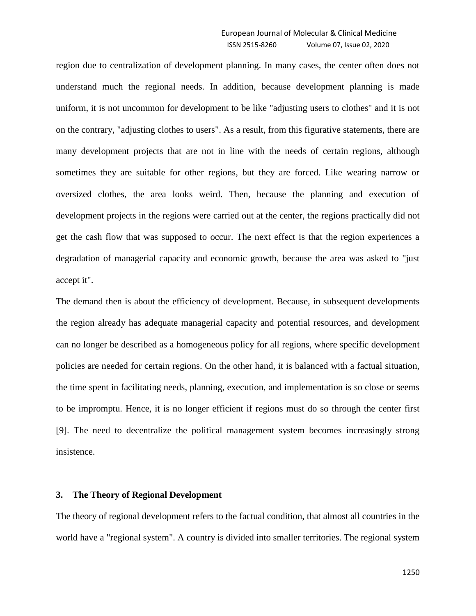region due to centralization of development planning. In many cases, the center often does not understand much the regional needs. In addition, because development planning is made uniform, it is not uncommon for development to be like "adjusting users to clothes" and it is not on the contrary, "adjusting clothes to users". As a result, from this figurative statements, there are many development projects that are not in line with the needs of certain regions, although sometimes they are suitable for other regions, but they are forced. Like wearing narrow or oversized clothes, the area looks weird. Then, because the planning and execution of development projects in the regions were carried out at the center, the regions practically did not get the cash flow that was supposed to occur. The next effect is that the region experiences a degradation of managerial capacity and economic growth, because the area was asked to "just accept it".

The demand then is about the efficiency of development. Because, in subsequent developments the region already has adequate managerial capacity and potential resources, and development can no longer be described as a homogeneous policy for all regions, where specific development policies are needed for certain regions. On the other hand, it is balanced with a factual situation, the time spent in facilitating needs, planning, execution, and implementation is so close or seems to be impromptu. Hence, it is no longer efficient if regions must do so through the center first [9]. The need to decentralize the political management system becomes increasingly strong insistence.

## **3. The Theory of Regional Development**

The theory of regional development refers to the factual condition, that almost all countries in the world have a "regional system". A country is divided into smaller territories. The regional system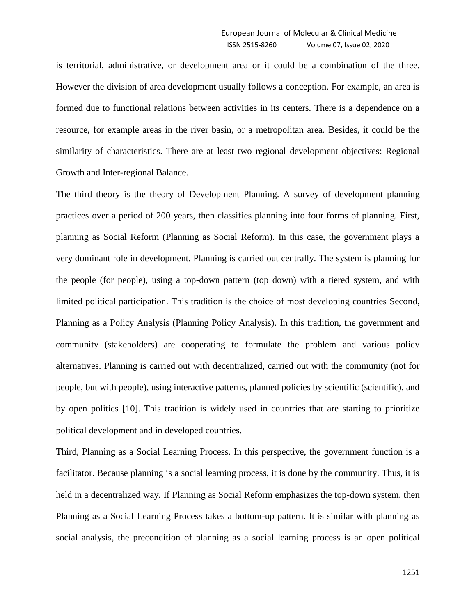is territorial, administrative, or development area or it could be a combination of the three. However the division of area development usually follows a conception. For example, an area is formed due to functional relations between activities in its centers. There is a dependence on a resource, for example areas in the river basin, or a metropolitan area. Besides, it could be the similarity of characteristics. There are at least two regional development objectives: Regional Growth and Inter-regional Balance.

The third theory is the theory of Development Planning. A survey of development planning practices over a period of 200 years, then classifies planning into four forms of planning. First, planning as Social Reform (Planning as Social Reform). In this case, the government plays a very dominant role in development. Planning is carried out centrally. The system is planning for the people (for people), using a top-down pattern (top down) with a tiered system, and with limited political participation. This tradition is the choice of most developing countries Second, Planning as a Policy Analysis (Planning Policy Analysis). In this tradition, the government and community (stakeholders) are cooperating to formulate the problem and various policy alternatives. Planning is carried out with decentralized, carried out with the community (not for people, but with people), using interactive patterns, planned policies by scientific (scientific), and by open politics [10]. This tradition is widely used in countries that are starting to prioritize political development and in developed countries.

Third, Planning as a Social Learning Process. In this perspective, the government function is a facilitator. Because planning is a social learning process, it is done by the community. Thus, it is held in a decentralized way. If Planning as Social Reform emphasizes the top-down system, then Planning as a Social Learning Process takes a bottom-up pattern. It is similar with planning as social analysis, the precondition of planning as a social learning process is an open political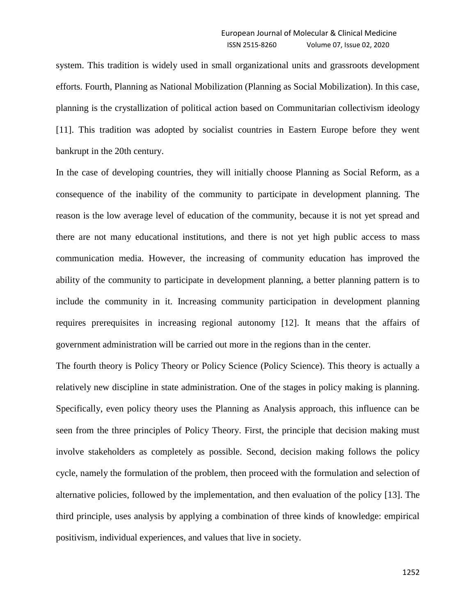system. This tradition is widely used in small organizational units and grassroots development efforts. Fourth, Planning as National Mobilization (Planning as Social Mobilization). In this case, planning is the crystallization of political action based on Communitarian collectivism ideology [11]. This tradition was adopted by socialist countries in Eastern Europe before they went bankrupt in the 20th century.

In the case of developing countries, they will initially choose Planning as Social Reform, as a consequence of the inability of the community to participate in development planning. The reason is the low average level of education of the community, because it is not yet spread and there are not many educational institutions, and there is not yet high public access to mass communication media. However, the increasing of community education has improved the ability of the community to participate in development planning, a better planning pattern is to include the community in it. Increasing community participation in development planning requires prerequisites in increasing regional autonomy [12]. It means that the affairs of government administration will be carried out more in the regions than in the center.

The fourth theory is Policy Theory or Policy Science (Policy Science). This theory is actually a relatively new discipline in state administration. One of the stages in policy making is planning. Specifically, even policy theory uses the Planning as Analysis approach, this influence can be seen from the three principles of Policy Theory. First, the principle that decision making must involve stakeholders as completely as possible. Second, decision making follows the policy cycle, namely the formulation of the problem, then proceed with the formulation and selection of alternative policies, followed by the implementation, and then evaluation of the policy [13]. The third principle, uses analysis by applying a combination of three kinds of knowledge: empirical positivism, individual experiences, and values that live in society.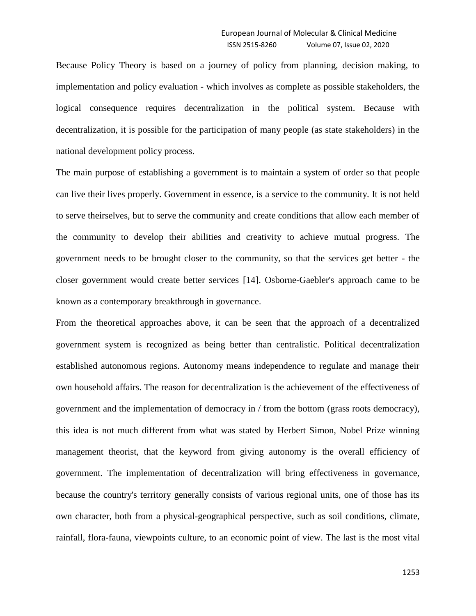Because Policy Theory is based on a journey of policy from planning, decision making, to implementation and policy evaluation - which involves as complete as possible stakeholders, the logical consequence requires decentralization in the political system. Because with decentralization, it is possible for the participation of many people (as state stakeholders) in the national development policy process.

The main purpose of establishing a government is to maintain a system of order so that people can live their lives properly. Government in essence, is a service to the community. It is not held to serve theirselves, but to serve the community and create conditions that allow each member of the community to develop their abilities and creativity to achieve mutual progress. The government needs to be brought closer to the community, so that the services get better - the closer government would create better services [14]. Osborne-Gaebler's approach came to be known as a contemporary breakthrough in governance.

From the theoretical approaches above, it can be seen that the approach of a decentralized government system is recognized as being better than centralistic. Political decentralization established autonomous regions. Autonomy means independence to regulate and manage their own household affairs. The reason for decentralization is the achievement of the effectiveness of government and the implementation of democracy in / from the bottom (grass roots democracy), this idea is not much different from what was stated by Herbert Simon, Nobel Prize winning management theorist, that the keyword from giving autonomy is the overall efficiency of government. The implementation of decentralization will bring effectiveness in governance, because the country's territory generally consists of various regional units, one of those has its own character, both from a physical-geographical perspective, such as soil conditions, climate, rainfall, flora-fauna, viewpoints culture, to an economic point of view. The last is the most vital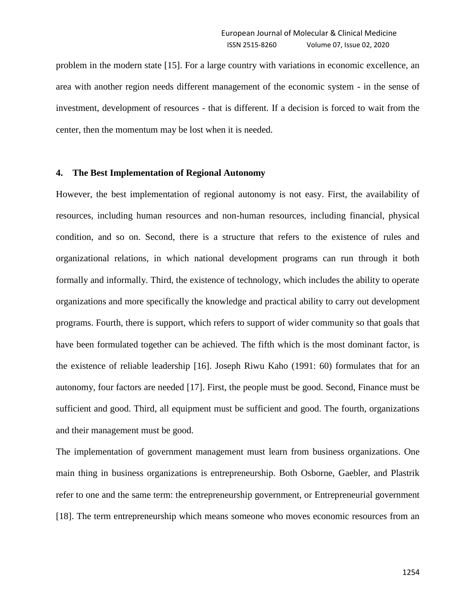problem in the modern state [15]. For a large country with variations in economic excellence, an area with another region needs different management of the economic system - in the sense of investment, development of resources - that is different. If a decision is forced to wait from the center, then the momentum may be lost when it is needed.

# **4. The Best Implementation of Regional Autonomy**

However, the best implementation of regional autonomy is not easy. First, the availability of resources, including human resources and non-human resources, including financial, physical condition, and so on. Second, there is a structure that refers to the existence of rules and organizational relations, in which national development programs can run through it both formally and informally. Third, the existence of technology, which includes the ability to operate organizations and more specifically the knowledge and practical ability to carry out development programs. Fourth, there is support, which refers to support of wider community so that goals that have been formulated together can be achieved. The fifth which is the most dominant factor, is the existence of reliable leadership [16]. Joseph Riwu Kaho (1991: 60) formulates that for an autonomy, four factors are needed [17]. First, the people must be good. Second, Finance must be sufficient and good. Third, all equipment must be sufficient and good. The fourth, organizations and their management must be good.

The implementation of government management must learn from business organizations. One main thing in business organizations is entrepreneurship. Both Osborne, Gaebler, and Plastrik refer to one and the same term: the entrepreneurship government, or Entrepreneurial government [18]. The term entrepreneurship which means someone who moves economic resources from an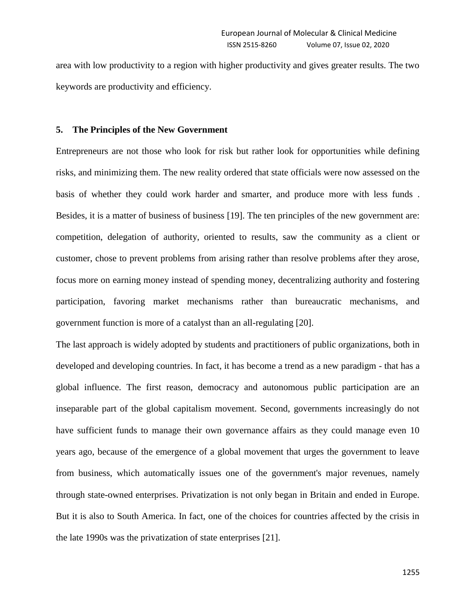area with low productivity to a region with higher productivity and gives greater results. The two keywords are productivity and efficiency.

## **5. The Principles of the New Government**

Entrepreneurs are not those who look for risk but rather look for opportunities while defining risks, and minimizing them. The new reality ordered that state officials were now assessed on the basis of whether they could work harder and smarter, and produce more with less funds . Besides, it is a matter of business of business [19]. The ten principles of the new government are: competition, delegation of authority, oriented to results, saw the community as a client or customer, chose to prevent problems from arising rather than resolve problems after they arose, focus more on earning money instead of spending money, decentralizing authority and fostering participation, favoring market mechanisms rather than bureaucratic mechanisms, and government function is more of a catalyst than an all-regulating [20].

The last approach is widely adopted by students and practitioners of public organizations, both in developed and developing countries. In fact, it has become a trend as a new paradigm - that has a global influence. The first reason, democracy and autonomous public participation are an inseparable part of the global capitalism movement. Second, governments increasingly do not have sufficient funds to manage their own governance affairs as they could manage even 10 years ago, because of the emergence of a global movement that urges the government to leave from business, which automatically issues one of the government's major revenues, namely through state-owned enterprises. Privatization is not only began in Britain and ended in Europe. But it is also to South America. In fact, one of the choices for countries affected by the crisis in the late 1990s was the privatization of state enterprises [21].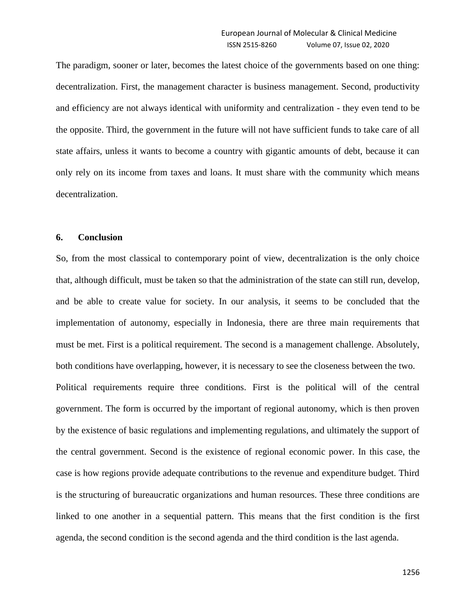The paradigm, sooner or later, becomes the latest choice of the governments based on one thing: decentralization. First, the management character is business management. Second, productivity and efficiency are not always identical with uniformity and centralization - they even tend to be the opposite. Third, the government in the future will not have sufficient funds to take care of all state affairs, unless it wants to become a country with gigantic amounts of debt, because it can only rely on its income from taxes and loans. It must share with the community which means decentralization.

# **6. Conclusion**

So, from the most classical to contemporary point of view, decentralization is the only choice that, although difficult, must be taken so that the administration of the state can still run, develop, and be able to create value for society. In our analysis, it seems to be concluded that the implementation of autonomy, especially in Indonesia, there are three main requirements that must be met. First is a political requirement. The second is a management challenge. Absolutely, both conditions have overlapping, however, it is necessary to see the closeness between the two. Political requirements require three conditions. First is the political will of the central government. The form is occurred by the important of regional autonomy, which is then proven by the existence of basic regulations and implementing regulations, and ultimately the support of the central government. Second is the existence of regional economic power. In this case, the case is how regions provide adequate contributions to the revenue and expenditure budget. Third is the structuring of bureaucratic organizations and human resources. These three conditions are linked to one another in a sequential pattern. This means that the first condition is the first agenda, the second condition is the second agenda and the third condition is the last agenda.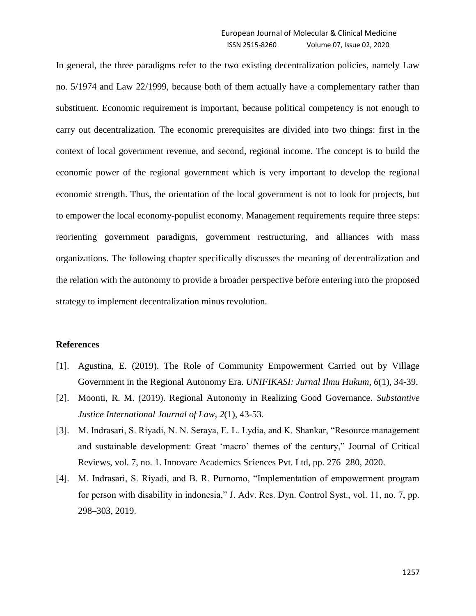In general, the three paradigms refer to the two existing decentralization policies, namely Law no. 5/1974 and Law 22/1999, because both of them actually have a complementary rather than substituent. Economic requirement is important, because political competency is not enough to carry out decentralization. The economic prerequisites are divided into two things: first in the context of local government revenue, and second, regional income. The concept is to build the economic power of the regional government which is very important to develop the regional economic strength. Thus, the orientation of the local government is not to look for projects, but to empower the local economy-populist economy. Management requirements require three steps: reorienting government paradigms, government restructuring, and alliances with mass organizations. The following chapter specifically discusses the meaning of decentralization and the relation with the autonomy to provide a broader perspective before entering into the proposed strategy to implement decentralization minus revolution.

#### **References**

- [1]. Agustina, E. (2019). The Role of Community Empowerment Carried out by Village Government in the Regional Autonomy Era. *UNIFIKASI: Jurnal Ilmu Hukum*, *6*(1), 34-39.
- [2]. Moonti, R. M. (2019). Regional Autonomy in Realizing Good Governance. *Substantive Justice International Journal of Law*, *2*(1), 43-53.
- [3]. M. Indrasari, S. Riyadi, N. N. Seraya, E. L. Lydia, and K. Shankar, "Resource management and sustainable development: Great "macro" themes of the century," Journal of Critical Reviews, vol. 7, no. 1. Innovare Academics Sciences Pvt. Ltd, pp. 276–280, 2020.
- [4]. M. Indrasari, S. Riyadi, and B. R. Purnomo, "Implementation of empowerment program for person with disability in indonesia," J. Adv. Res. Dyn. Control Syst., vol. 11, no. 7, pp. 298–303, 2019.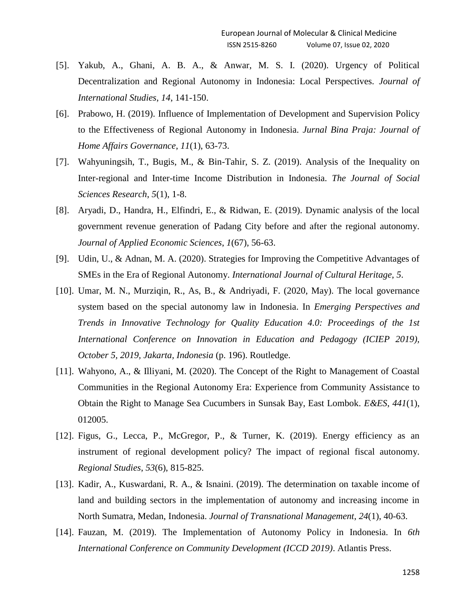- [5]. Yakub, A., Ghani, A. B. A., & Anwar, M. S. I. (2020). Urgency of Political Decentralization and Regional Autonomy in Indonesia: Local Perspectives. *Journal of International Studies*, *14*, 141-150.
- [6]. Prabowo, H. (2019). Influence of Implementation of Development and Supervision Policy to the Effectiveness of Regional Autonomy in Indonesia. *Jurnal Bina Praja: Journal of Home Affairs Governance*, *11*(1), 63-73.
- [7]. Wahyuningsih, T., Bugis, M., & Bin-Tahir, S. Z. (2019). Analysis of the Inequality on Inter-regional and Inter-time Income Distribution in Indonesia. *The Journal of Social Sciences Research*, *5*(1), 1-8.
- [8]. Aryadi, D., Handra, H., Elfindri, E., & Ridwan, E. (2019). Dynamic analysis of the local government revenue generation of Padang City before and after the regional autonomy. *Journal of Applied Economic Sciences*, *1*(67), 56-63.
- [9]. Udin, U., & Adnan, M. A. (2020). Strategies for Improving the Competitive Advantages of SMEs in the Era of Regional Autonomy. *International Journal of Cultural Heritage*, *5*.
- [10]. Umar, M. N., Murziqin, R., As, B., & Andriyadi, F. (2020, May). The local governance system based on the special autonomy law in Indonesia. In *Emerging Perspectives and Trends in Innovative Technology for Quality Education 4.0: Proceedings of the 1st International Conference on Innovation in Education and Pedagogy (ICIEP 2019), October 5, 2019, Jakarta, Indonesia* (p. 196). Routledge.
- [11]. Wahyono, A., & Illiyani, M. (2020). The Concept of the Right to Management of Coastal Communities in the Regional Autonomy Era: Experience from Community Assistance to Obtain the Right to Manage Sea Cucumbers in Sunsak Bay, East Lombok. *E&ES*, *441*(1), 012005.
- [12]. Figus, G., Lecca, P., McGregor, P., & Turner, K. (2019). Energy efficiency as an instrument of regional development policy? The impact of regional fiscal autonomy. *Regional Studies*, *53*(6), 815-825.
- [13]. Kadir, A., Kuswardani, R. A., & Isnaini. (2019). The determination on taxable income of land and building sectors in the implementation of autonomy and increasing income in North Sumatra, Medan, Indonesia. *Journal of Transnational Management*, *24*(1), 40-63.
- [14]. Fauzan, M. (2019). The Implementation of Autonomy Policy in Indonesia. In *6th International Conference on Community Development (ICCD 2019)*. Atlantis Press.